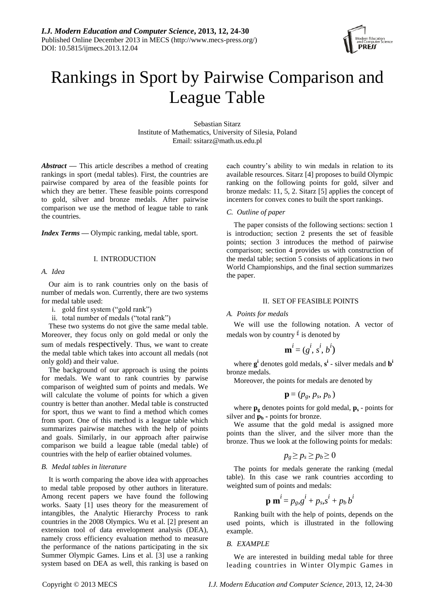

# Rankings in Sport by Pairwise Comparison and League Table

Sebastian Sitarz Institute of Mathematics, University of Silesia, Poland Email: ssitarz@math.us.edu.pl

*Abstract* **—** This article describes a method of creating rankings in sport (medal tables). First, the countries are pairwise compared by area of the feasible points for which they are better. These feasible points correspond to gold, silver and bronze medals. After pairwise comparison we use the method of league table to rank the countries.

*Index Terms* **—** Olympic ranking, medal table, sport.

# I. INTRODUCTION

# *A. Idea*

Our aim is to rank countries only on the basis of number of medals won. Currently, there are two systems for medal table used:

- i. gold first system ("gold rank")
- ii. total number of medals ("total rank")

These two systems do not give the same medal table. Moreover, they focus only on gold medal or only the sum of medals respectively. Thus, we want to create the medal table which takes into account all medals (not only gold) and their value.

The background of our approach is using the points for medals. We want to rank countries by parwise comparison of weighted sum of points and medals. We will calculate the volume of points for which a given country is better than another. Medal table is constructed for sport, thus we want to find a method which comes from sport. One of this method is a league table which summarizes pairwise matches with the help of points and goals. Similarly, in our approach after pairwise comparison we build a league table (medal table) of countries with the help of earlier obtained volumes.

# *B. Medal tables in literature*

It is worth comparing the above idea with approaches to medal table proposed by other authors in literature. Among recent papers we have found the following works. Saaty [1] uses theory for the measurement of intangibles, the Analytic Hierarchy Process to rank countries in the 2008 Olympics. Wu et al. [2] present an extension tool of data envelopment analysis (DEA), namely cross efficiency evaluation method to measure the performance of the nations participating in the six Summer Olympic Games. Lins et al. [3] use a ranking system based on DEA as well, this ranking is based on each country's ability to win medals in relation to its available resources. Sitarz [4] proposes to build Olympic ranking on the following points for gold, silver and bronze medals: 11, 5, 2. Sitarz [5] applies the concept of incenters for convex cones to built the sport rankings.

# *C. Outline of paper*

The paper consists of the following sections: section 1 is introduction; section 2 presents the set of feasible points; section 3 introduces the method of pairwise comparison; section 4 provides us with construction of the medal table; section 5 consists of applications in two World Championships, and the final section summarizes the paper.

# II. SET OF FEASIBLE POINTS

# *A. Points for medals*

We will use the following notation. A vector of medals won by country  $\mathbf{i}$  is denoted by

$$
\mathbf{m}^i = (g^i, s^i, b^i)
$$

where **g i** denotes gold medals, **s i** - silver medals and **b i** bronze medals.

Moreover, the points for medals are denoted by

$$
\mathbf{p}=(p_g, p_s, p_b)
$$

where  $\mathbf{p}_{g}$  denotes points for gold medal,  $\mathbf{p}_{s}$  - points for silver and  $\mathbf{p}_b$  **-** points for bronze.

We assume that the gold medal is assigned more points than the sliver, and the silver more than the bronze. Thus we look at the following points for medals:

$$
p_g \ge p_s \ge p_b \ge 0
$$

The points for medals generate the ranking (medal table). In this case we rank countries according to weighted sum of points and medals:

$$
\mathbf{p}\mathbf{m}^i = p_g g^i + p_s s^i + p_b b^i
$$

Ranking built with the help of points, depends on the used points, which is illustrated in the following example.

# *B. EXAMPLE*

We are interested in building medal table for three leading countries in Winter Olympic Games in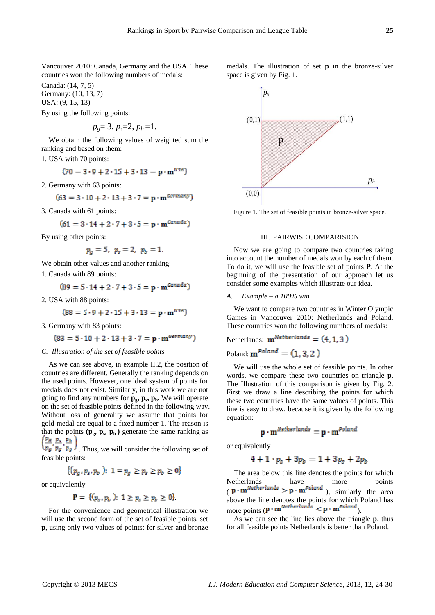Vancouver 2010: Canada, Germany and the USA. These countries won the following numbers of medals:

Canada: (14, 7, 5) Germany: (10, 13, 7) USA: (9, 15, 13)

By using the following points:

$$
p_g=3, p_s=2, p_b=1.
$$

We obtain the following values of weighted sum the ranking and based on them:

1. USA with 70 points:

$$
(70 = 3 \cdot 9 + 2 \cdot 15 + 3 \cdot 13 = p \cdot m^{USA})
$$

2. Germany with 63 points:

$$
(63 = 3 \cdot 10 + 2 \cdot 13 + 3 \cdot 7 = p \cdot m^{Germany})
$$

3. Canada with 61 points:

$$
(61 = 3 \cdot 14 + 2 \cdot 7 + 3 \cdot 5 = \mathbf{p} \cdot \mathbf{m}^{\text{Canada}})
$$

By using other points:

$$
p_g = 5, p_s = 2, p_b = 1.
$$

We obtain other values and another ranking:

1. Canada with 89 points:

$$
(89 = 5 \cdot 14 + 2 \cdot 7 + 3 \cdot 5 = p \cdot m^{Canada})
$$

2. USA with 88 points:

$$
(88 = 5 \cdot 9 + 2 \cdot 15 + 3 \cdot 13 = p \cdot m^{USA})
$$

3. Germany with 83 points:

$$
(83 = 5 \cdot 10 + 2 \cdot 13 + 3 \cdot 7 = \mathbf{p} \cdot \mathbf{m}^{\text{Germany}})
$$

#### *C. Illustration of the set of feasible points*

As we can see above, in example II.2, the position of countries are different. Generally the ranking depends on the used points. However, one ideal system of points for medals does not exist. Similarly, in this work we are not going to find any numbers for **pg, p<sup>s</sup> , pb,** We will operate on the set of feasible points defined in the following way. Without loss of generality we assume that points for gold medal are equal to a fixed number 1. The reason is that the points  $(\mathbf{p_g}, \mathbf{p_s}, \mathbf{p_b})$  generate the same ranking as

 $\sqrt{p_g}/p_g$ , Thus, we will consider the following set of feasible points:

$$
\{(p_g, p_s, p_b): 1 = p_g \ge p_s \ge p_b \ge 0\}
$$

or equivalently

$$
\mathbf{P} = \{ (p_s, p_b): 1 \ge p_s \ge p_b \ge 0 \}
$$

For the convenience and geometrical illustration we will use the second form of the set of feasible points, set **p**, using only two values of points: for silver and bronze medals. The illustration of set **p** in the bronze-silver space is given by Fig. 1.



Figure 1. The set of feasible points in bronze-silver space.

# III. PAIRWISE COMPARISION

Now we are going to compare two countries taking into account the number of medals won by each of them. To do it, we will use the feasible set of points **P**. At the beginning of the presentation of our approach let us consider some examples which illustrate our idea.

#### *A. Example – a 100% win*

We want to compare two countries in Winter Olympic Games in Vancouver 2010: Netherlands and Poland. These countries won the following numbers of medals:

# Netherlands:  $\mathbf{m}^{Netherlands} = (4, 1, 3)$

Poland:  $\mathbf{m}^{Poland} = (1, 3, 2)$ 

We will use the whole set of feasible points. In other words, we compare these two countries on triangle **p**. The Illustration of this comparison is given by Fig. 2. First we draw a line describing the points for which these two countries have the same values of points. This line is easy to draw, because it is given by the following equation:

$$
\mathbf{p}\cdot\mathbf{m}^{\text{Netherlands}}=\mathbf{p}\cdot\mathbf{m}^{\text{Poland}}
$$

or equivalently

$$
4+1\cdot p_s + 3p_b = 1+3p_s + 2p_b
$$

The area below this line denotes the points for which Netherlands have more points  $(p \cdot m^{Netherlands} > p \cdot m^{Poland} )$ , similarly the area above the line denotes the points for which Poland has more points  $(\mathbf{p} \cdot \mathbf{m}^{Netherlands} < \mathbf{p} \cdot \mathbf{m}^{Poland})$ .

As we can see the line lies above the triangle **p**, thus for all feasible points Netherlands is better than Poland.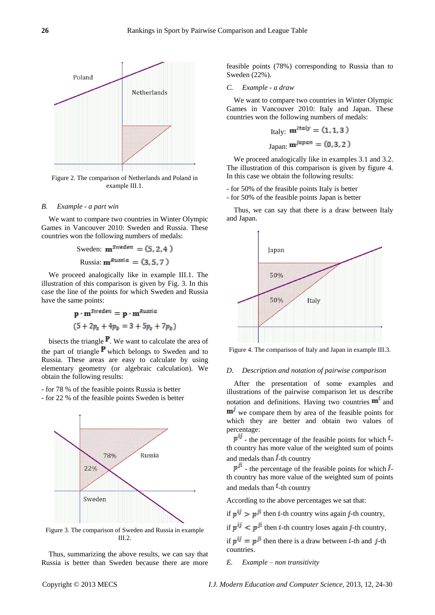

Figure 2. The comparison of Netherlands and Poland in example III.1.

# *B. Example - a part win*

We want to compare two countries in Winter Olympic Games in Vancouver 2010: Sweden and Russia. These countries won the following numbers of medals:

$$
Sweden: \mathbf{m}^{Sweden} = (5, 2, 4)
$$
  
Russia: 
$$
\mathbf{m}^{Russia} = (3, 5, 7)
$$

We proceed analogically like in example III.1. The illustration of this comparison is given by Fig. 3. In this case the line of the points for which Sweden and Russia have the same points:

$$
\mathbf{p} \cdot \mathbf{m}^{Sweden} = \mathbf{p} \cdot \mathbf{m}^{Russia}
$$

$$
(5 + 2p_s + 4p_b) = 3 + 5p_s + 7p_b)
$$

bisects the triangle  $\mathbf{P}$ . We want to calculate the area of the part of triangle  $\mathbf{P}$  which belongs to Sweden and to Russia. These areas are easy to calculate by using elementary geometry (or algebraic calculation). We obtain the following results:

- for 78 % of the feasible points Russia is better
- for 22 % of the feasible points Sweden is better



Figure 3. The comparison of Sweden and Russia in example III.2.

Thus, summarizing the above results, we can say that Russia is better than Sweden because there are more feasible points (78%) corresponding to Russia than to Sweden (22%).

#### *C. Example - a draw*

We want to compare two countries in Winter Olympic Games in Vancouver 2010: Italy and Japan. These countries won the following numbers of medals:

[**Italy**: 
$$
\mathbf{m}^{Italy} = (1, 1, 3)
$$
  
Japan:  $\mathbf{m}^{Japan} = (0, 3, 2)$ 

We proceed analogically like in examples 3.1 and 3.2. The illustration of this comparison is given by figure 4. In this case we obtain the following results:

- for 50% of the feasible points Italy is better
- for 50% of the feasible points Japan is better

Thus, we can say that there is a draw between Italy and Japan.



Figure 4. The comparison of Italy and Japan in example III.3.

#### *D. Description and notation of pairwise comparison*

After the presentation of some examples and illustrations of the pairwise comparison let us describe notation and definitions. Having two countries  $\mathbf{m}^1$  and  **we compare them by area of the feasible points for** which they are better and obtain two values of percentage:

 $p^{ij}$  - the percentage of the feasible points for which  $i$ th country has more value of the weighted sum of points and medals than  $\hat{J}$ -th country

 $p^{\hat{\mu}}$  - the percentage of the feasible points for which  $\hat{\mu}$ th country has more value of the weighted sum of points and medals than  $\mathbf{i}$ -th country

According to the above percentages we sat that:

if  $p^{ij} > p^{ji}$  then *i*-th country wins again *j*-th country,

if  $p^{ij} < p^{ji}$  then *i*-th country loses again *j*-th country,

if  $p^{ij} = p^{ji}$  then there is a draw between *i*-th and *j*-th countries.

*E. Example – non transitivity*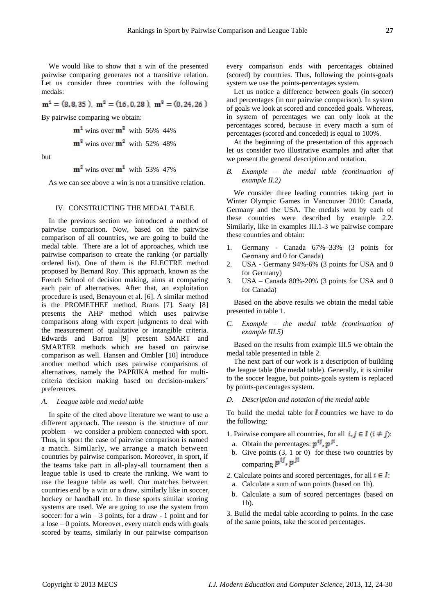We would like to show that a win of the presented pairwise comparing generates not a transitive relation. Let us consider three countries with the following medals:

 $m<sup>1</sup> = (8, 8, 35)$ ,  $m<sup>2</sup> = (16, 0, 28)$ ,  $m<sup>3</sup> = (0, 24, 26)$ 

By pairwise comparing we obtain:

$$
m^1
$$
 wins over  $m^3$  with 56%–44%

 $m^2$  wins over  $m^2$  with 52%–48%

but

 $m^2$  wins over  $m^1$  with 53%–47%

As we can see above a win is not a transitive relation.

#### IV. CONSTRUCTING THE MEDAL TABLE

In the previous section we introduced a method of pairwise comparison. Now, based on the pairwise comparison of all countries, we are going to build the medal table. There are a lot of approaches, which use pairwise comparison to create the ranking (or partially ordered list). One of them is the ELECTRE method proposed by Bernard Roy. This approach, known as the French School of decision making, aims at comparing each pair of alternatives. After that, an exploitation procedure is used, Benayoun et al. [6]. A similar method is the PROMETHEE method, Brans [7]. Saaty [8] presents the AHP method which uses pairwise comparisons along with expert judgments to deal with the measurement of qualitative or intangible criteria. Edwards and Barron [9] present SMART and SMARTER methods which are based on pairwise comparison as well. Hansen and Ombler [10] introduce another method which uses pairwise comparisons of alternatives, namely the PAPRIKA method for multicriteria decision making based on decision-makers' preferences.

#### *A. League table and medal table*

In spite of the cited above literature we want to use a different approach. The reason is the structure of our problem – we consider a problem connected with sport. Thus, in sport the case of pairwise comparison is named a match. Similarly, we arrange a match between countries by pairwise comparison. Moreover, in sport, if the teams take part in all-play-all tournament then a league table is used to create the ranking. We want to use the league table as well. Our matches between countries end by a win or a draw, similarly like in soccer, hockey or handball etc. In these sports similar scoring systems are used. We are going to use the system from soccer: for a win  $-3$  points, for a draw - 1 point and for a lose – 0 points. Moreover, every match ends with goals scored by teams, similarly in our pairwise comparison

every comparison ends with percentages obtained (scored) by countries. Thus, following the points-goals system we use the points-percentages system.

Let us notice a difference between goals (in soccer) and percentages (in our pairwise comparison). In system of goals we look at scored and conceded goals. Whereas, in system of percentages we can only look at the percentages scored, because in every macth a sum of percentages (scored and conceded) is equal to 100%.

At the beginning of the presentation of this approach let us consider two illustrative examples and after that we present the general description and notation.

*B. Example – the medal table (continuation of example II.2)*

We consider three leading countries taking part in Winter Olympic Games in Vancouver 2010: Canada, Germany and the USA. The medals won by each of these countries were described by example 2.2. Similarly, like in examples III.1-3 we pairwise compare these countries and obtain:

- 1. Germany Canada 67%–33% (3 points for Germany and 0 for Canada)
- 2. USA Germany 94%-6% (3 points for USA and 0 for Germany)
- 3. USA Canada 80%-20% (3 points for USA and 0 for Canada)

Based on the above results we obtain the medal table presented in table 1.

*C. Example – the medal table (continuation of example III.5)*

Based on the results from example III.5 we obtain the medal table presented in table 2.

The next part of our work is a description of building the league table (the medal table). Generally, it is similar to the soccer league, but points-goals system is replaced by points-percentages system.

# *D. Description and notation of the medal table*

To build the medal table for  $\vec{l}$  countries we have to do the following:

- 1. Pairwise compare all countries, for all  $i, j \in I$   $(i \neq j)$ : a. Obtain the percentages:  $p^{ij}$ ,  $p^{ji}$ .
- 
- b. Give points  $(3, 1 \text{ or } 0)$  for these two countries by comparing  $p^{ij}$ ,  $p^{ji}$
- 2. Calculate points and scored percentages, for all  $i \in I$ : a. Calculate a sum of won points (based on 1b).
	- b. Calculate a sum of scored percentages (based on 1b).

3. Build the medal table according to points. In the case of the same points, take the scored percentages.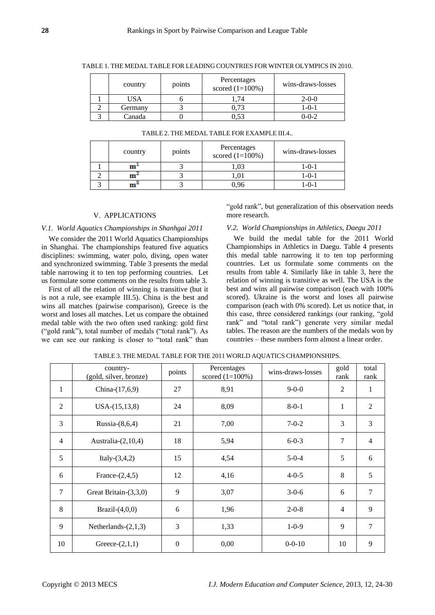|  | country | points | Percentages<br>scored $(1=100\%)$ | wins-draws-losses |
|--|---------|--------|-----------------------------------|-------------------|
|  | USA     |        |                                   | $2 - 0 - 0$       |
|  | Germany |        |                                   | l -0-1            |
|  | Canada  |        | ).53                              | $0 - 0 - 2$       |

TABLE 1. THE MEDAL TABLE FOR LEADING COUNTRIES FOR WINTER OLYMPICS IN 2010.

| country | points | Percentages<br>scored $(1=100\%)$ | wins-draws-losses |
|---------|--------|-----------------------------------|-------------------|
| m       |        | 0.03                              | 1-0-1             |
|         |        | 1.01                              | 1-0-1             |
|         |        | 96                                | $-0$ -1           |

#### TABLE 2. THE MEDAL TABLE FOR EXAMPLE III.4..

#### V. APPLICATIONS

# *V.1. World Aquatics Championships in Shanhgai 2011*

We consider the 2011 World Aquatics Championships in Shanghai. The championships featured five aquatics disciplines: swimming, water polo, diving, open water and synchronized swimming. Table 3 presents the medal table narrowing it to ten top performing countries. Let us formulate some comments on the results from table 3.

First of all the relation of winning is transitive (but it is not a rule, see example III.5). China is the best and wins all matches (pairwise comparison), Greece is the worst and loses all matches. Let us compare the obtained medal table with the two often used ranking: gold first ("gold rank"), total number of medals ("total rank"). As we can see our ranking is closer to "total rank" than

"gold rank", but generalization of this observation needs more research.

# *V.2. World Championships in Athletics, Daegu 2011*

We build the medal table for the 2011 World Championships in Athletics in Daegu. Table 4 presents this medal table narrowing it to ten top performing countries. Let us formulate some comments on the results from table 4. Similarly like in table 3, here the relation of winning is transitive as well. The USA is the best and wins all pairwise comparison (each with 100% scored). Ukraine is the worst and loses all pairwise comparison (each with 0% scored). Let us notice that, in this case, three considered rankings (our ranking, "gold rank" and "total rank") generate very similar medal tables. The reason are the numbers of the medals won by countries – these numbers form almost a linear order.

|                | country-<br>(gold, silver, bronze) | points   | Percentages<br>scored $(1=100\%)$ | wins-draws-losses | gold<br>rank   | total<br>rank  |
|----------------|------------------------------------|----------|-----------------------------------|-------------------|----------------|----------------|
| 1              | China-(17,6,9)                     | 27       | 8,91                              | $9 - 0 - 0$       | $\overline{2}$ | 1              |
| $\overline{2}$ | $USA-(15,13,8)$                    | 24       | 8,09                              | $8 - 0 - 1$       | 1              | $\overline{2}$ |
| 3              | Russia $-(8,6,4)$                  | 21       | 7,00                              | $7 - 0 - 2$       | 3              | 3              |
| $\overline{4}$ | Australia- $(2,10,4)$              | 18       | 5,94                              | $6 - 0 - 3$       | 7              | $\overline{4}$ |
| 5              | Italy- $(3,4,2)$                   | 15       | 4,54                              | $5 - 0 - 4$       | 5              | 6              |
| 6              | France- $(2,4,5)$                  | 12       | 4,16                              | $4 - 0 - 5$       | 8              | 5              |
| 7              | Great Britain-(3,3,0)              | 9        | 3,07                              | $3 - 0 - 6$       | 6              | 7              |
| 8              | Brazil $-(4,0,0)$                  | 6        | 1,96                              | $2 - 0 - 8$       | 4              | 9              |
| 9              | Netherlands- $(2,1,3)$             | 3        | 1,33                              | $1 - 0 - 9$       | 9              | $\overline{7}$ |
| 10             | Greece- $(2,1,1)$                  | $\theta$ | 0,00                              | $0 - 0 - 10$      | 10             | 9              |

TABLE 3. THE MEDAL TABLE FOR THE 2011 WORLD AQUATICS CHAMPIONSHIPS.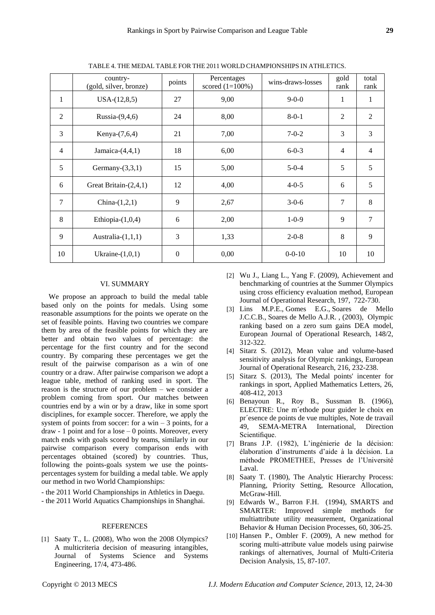|                | country-<br>(gold, silver, bronze) | points           | Percentages<br>scored $(1=100\%)$ | wins-draws-losses | gold<br>rank   | total<br>rank  |
|----------------|------------------------------------|------------------|-----------------------------------|-------------------|----------------|----------------|
| 1              | $USA-(12,8,5)$                     | 27               | 9,00                              | $9 - 0 - 0$       | $\mathbf{1}$   | 1              |
| 2              | Russia- $(9,4,6)$                  | 24               | 8,00                              | $8 - 0 - 1$       | $\overline{2}$ | 2              |
| 3              | Kenya-(7,6,4)                      | 21               | 7,00                              | $7 - 0 - 2$       | 3              | 3              |
| $\overline{4}$ | Jamaica- $(4,4,1)$                 | 18               | 6,00                              | $6 - 0 - 3$       | $\overline{4}$ | $\overline{4}$ |
| 5              | Germany- $(3,3,1)$                 | 15               | 5,00                              | $5 - 0 - 4$       | 5              | 5              |
| 6              | Great Britain- $(2,4,1)$           | 12               | 4,00                              | $4 - 0 - 5$       | 6              | 5              |
| $\tau$         | China- $(1,2,1)$                   | 9                | 2,67                              | $3 - 0 - 6$       | 7              | 8              |
| 8              | Ethiopia- $(1,0,4)$                | 6                | 2,00                              | $1 - 0 - 9$       | 9              | 7              |
| 9              | Australia- $(1,1,1)$               | 3                | 1,33                              | $2 - 0 - 8$       | 8              | 9              |
| 10             | Ukraine- $(1,0,1)$                 | $\boldsymbol{0}$ | 0,00                              | $0 - 0 - 10$      | 10             | 10             |

TABLE 4. THE MEDAL TABLE FOR THE 2011 WORLD CHAMPIONSHIPS IN ATHLETICS.

## VI. SUMMARY

We propose an approach to build the medal table based only on the points for medals. Using some reasonable assumptions for the points we operate on the set of feasible points. Having two countries we compare them by area of the feasible points for which they are better and obtain two values of percentage: the percentage for the first country and for the second country. By comparing these percentages we get the result of the pairwise comparison as a win of one country or a draw. After pairwise comparison we adopt a league table, method of ranking used in sport. The reason is the structure of our problem – we consider a problem coming from sport. Our matches between countries end by a win or by a draw, like in some sport disciplines, for example soccer. Therefore, we apply the system of points from soccer: for a win  $-3$  points, for a draw - 1 point and for a lose – 0 points. Moreover, every match ends with goals scored by teams, similarly in our pairwise comparison every comparison ends with percentages obtained (scored) by countries. Thus, following the points-goals system we use the pointspercentages system for building a medal table. We apply our method in two World Championships:

- the 2011 World Championships in Athletics in Daegu.

- the 2011 World Aquatics Championships in Shanghai.

#### **REFERENCES**

[1] Saaty T., L. (2008)*,* Who won the 2008 Olympics? A multicriteria decision of measuring intangibles, Journal of Systems Science and Systems Engineering, 17/4, 473-486.

- [2] Wu J., Liang L., Yang F. (2009), Achievement and benchmarking of countries at the Summer Olympics using cross efficiency evaluation method, European Journal of Operational Research, 197, 722-730.
- [3] Lins M.P.E., Gomes E.G., Soares de Mello J.C.C.B., Soares de Mello A.J.R. , (2003), Olympic ranking based on a zero sum gains DEA model, European Journal of Operational Research, 148/2, 312-322.
- [4] Sitarz S. (2012), Mean value and volume-based sensitivity analysis for Olympic rankings, European Journal of Operational Research, 216, 232-238.
- [5] Sitarz S. (2013), The Medal points' incenter for rankings in sport, Applied Mathematics Letters, 26, 408-412, 2013
- [6] Benayoun R., Roy B., Sussman B. (1966), ELECTRE: Une m´ethode pour guider le choix en pr´esence de points de vue multiples, Note de travail 49, SEMA-METRA International, Direction Scientifique.
- [7] Brans J.P. (1982), L'ingénierie de la décision: élaboration d'instruments d'aide à la décision. La méthode PROMETHEE, Presses de l'Université Laval.
- [8] Saaty T. (1980), The Analytic Hierarchy Process: Planning, Priority Setting, Resource Allocation, McGraw-Hill.
- [9] Edwards W., Barron F.H. (1994), SMARTS and SMARTER: Improved simple methods for multiattribute utility measurement, Organizational Behavior & Human Decision Processes, 60, 306-25.
- [10] Hansen P., Ombler F. (2009), A new method for scoring multi-attribute value models using pairwise rankings of alternatives, Journal of Multi-Criteria Decision Analysis, 15, 87-107.